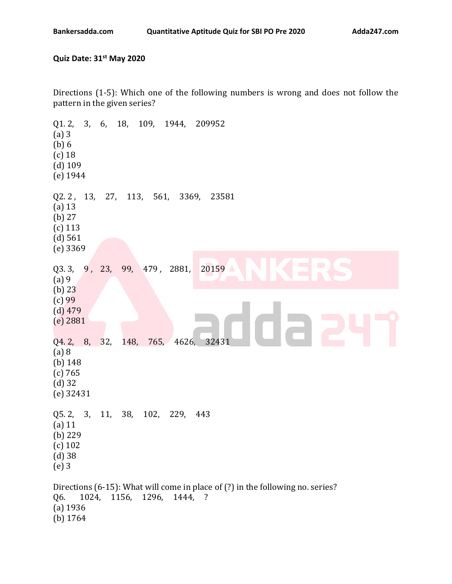## **Quiz Date: 31st May 2020**

Directions (1-5): Which one of the following numbers is wrong and does not follow the pattern in the given series?

Q1. 2, 3, 6, 18, 109, 1944, 209952 (a) 3 (b) 6 (c) 18 (d) 109 (e) 1944 Q2. 2 , 13, 27, 113, 561, 3369, 23581 (a) 13 (b) 27 (c) 113 (d) 561 (e) 3369 Q3. 3, 9, 23, 99, 479, 2881, 20159 (a) 9 (b) 23 (c) 99 (d) 479 (e) 2881 Q4. 2, 8, 32, 148, 765, 4626, 32431 (a) 8 (b) 148 (c) 765 (d) 32 (e) 32431 Q5. 2, 3, 11, 38, 102, 229, 443 (a) 11 (b) 229 (c) 102 (d) 38 (e) 3 Directions (6-15): What will come in place of (?) in the following no. series? Q6. 1024, 1156, 1296, 1444, ? (a) 1936 (b) 1764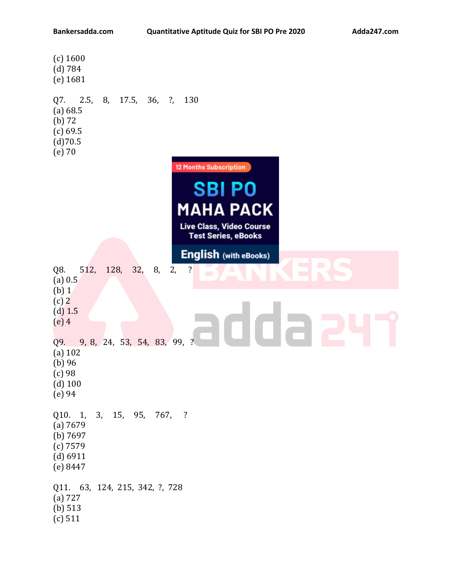| (c) 1600<br>(d) 784<br>(e) 1681                                                                                                               |
|-----------------------------------------------------------------------------------------------------------------------------------------------|
| $Q7.$ 2.5,<br>8, 17.5, 36, ?,<br>130<br>(a) 68.5<br>$(b)$ 72<br>(c) 69.5<br>(d)70.5<br>$(e)$ 70                                               |
| <b>12 Months Subscription</b><br><b>SBIPO</b><br><b>MAHA PACK</b><br><b>Live Class, Video Course</b><br><b>Test Series, eBooks</b>            |
| <b>English (with eBooks)</b><br>$\blacksquare$<br>Œ<br>128,<br>512,<br>32,<br>8,<br>2,<br>Q8.<br>$\cdot$<br>$\Box$<br>D<br>(a) 0.5<br>$(b)$ 1 |
| $(c)$ 2<br>$(d)$ 1.5<br>$(e)$ 4                                                                                                               |
| 9, 8, 24, 53, 54, 83, 99, ?<br>Q9.<br>$(a)$ 102<br>$(b)$ 96<br>$(c)$ 98<br>$(d)$ 100<br>(e) 94                                                |
| 3,<br>15,<br>95,<br>Q10. 1,<br>767,<br>$\overline{\phantom{a}}$<br>(a) 7679<br>(b) $7697$<br>$(c)$ 7579<br>(d) 6911<br>(e) 8447               |
| 63, 124, 215, 342, ?, 728<br>Q11.<br>(a) 727<br>(b) $513$<br>(c) 511                                                                          |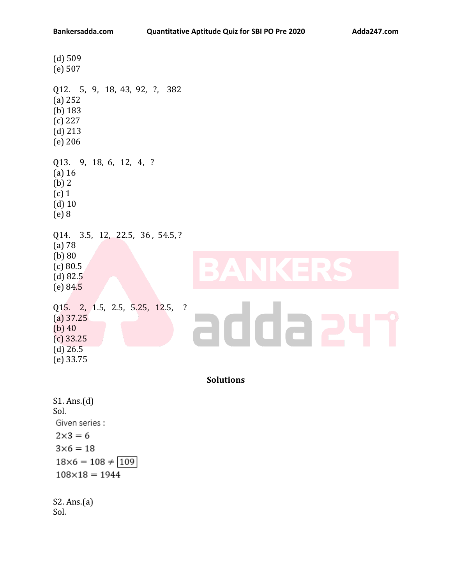| $(d)$ 509<br>(e) 507                                                                                                                                                                     |
|------------------------------------------------------------------------------------------------------------------------------------------------------------------------------------------|
| Q12. 5, 9, 18, 43, 92, ?,<br>382<br>(a) 252<br>$(b)$ 183<br>$(c)$ 227<br>$(d)$ 213<br>$(e)$ 206                                                                                          |
| Q13. 9, 18, 6, 12, 4, ?<br>$(a)$ 16<br>$(b)$ 2<br>$(c)$ 1<br>$(d)$ 10<br>$(e)$ 8                                                                                                         |
| Q14.<br>3.5, 12, 22.5, 36, 54.5, ?<br>$(a)$ 78<br>(b) 80<br>$\overline{\phantom{0}}$<br>$\overline{\phantom{a}}$<br>$\Box$<br>(c) 80.5<br>$\Box$<br>$\mathbb{R}$<br>(d) 82.5<br>(e) 84.5 |
| Q15. 2, 1.5, 2.5, 5.25, 12.5,<br>$\ddot{?}$<br>$(a)$ 37.25<br>$(b)$ 40<br>$(c)$ 33.25<br>$(d)$ 26.5<br>$(e)$ 33.75                                                                       |
| <b>Solutions</b>                                                                                                                                                                         |
| S1. Ans.(d)<br>Sol.                                                                                                                                                                      |

Given series :  $2\times3=6$  $3\times 6=18$  $18\times6 = 108 \neq 109$  $108 \times 18 = 1944$ 

S2. Ans.(a) Sol.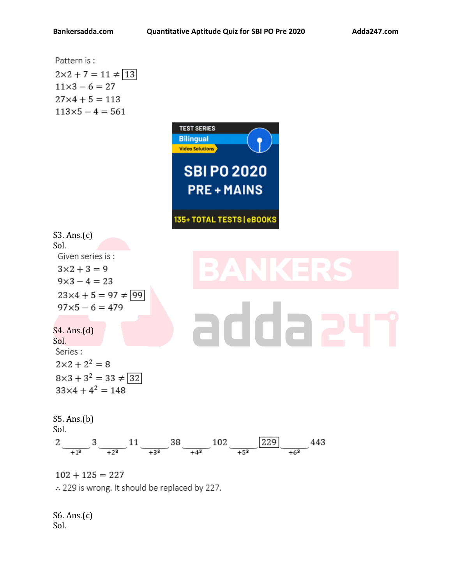| Pattern is:                                                                                                                                                                                                                                           |
|-------------------------------------------------------------------------------------------------------------------------------------------------------------------------------------------------------------------------------------------------------|
| $2 \times 2 + 7 = 11 \neq \boxed{13}$                                                                                                                                                                                                                 |
| $11 \times 3 - 6 = 27$                                                                                                                                                                                                                                |
| $11 \times 5 - 4 = 561$                                                                                                                                                                                                                               |
| <b>REIST RHEIS</b>                                                                                                                                                                                                                                    |
| <b>Billingual</b>                                                                                                                                                                                                                                     |
| <b>SB I PO 2020</b>                                                                                                                                                                                                                                   |
| <b>PRE + MAINS</b>                                                                                                                                                                                                                                    |
| $33. \text{Ans.}(c)$                                                                                                                                                                                                                                  |
| <b>Sol.</b>                                                                                                                                                                                                                                           |
| <b>Si</b>                                                                                                                                                                                                                                             |
| $32 \times 4 + 5 = 9$                                                                                                                                                                                                                                 |
| $9 \times 3 - 4 = 23$                                                                                                                                                                                                                                 |
| $97 \times 5 - 6 = 479$                                                                                                                                                                                                                               |
| $97 \times 5 - 6 = 479$                                                                                                                                                                                                                               |
| <b>St. Ans.(d)</b>                                                                                                                                                                                                                                    |
| <b>Set:</b>                                                                                                                                                                                                                                           |
| $2 \times 2 + 2^2 = 8$                                                                                                                                                                                                                                |
| $8 \times 3 + 3^2 = 33 \neq \boxed{32}$                                                                                                                                                                                                               |
| $3 \times 4 + 4^2 = 148$                                                                                                                                                                                                                              |
| <b>SS. Ans.(b)</b>                                                                                                                                                                                                                                    |
| $2 \underbrace{\phantom{0}}{+1^3} \underbrace{\phantom{0}}{+2^3} \underbrace{-11} \underbrace{-13^3} \underbrace{-38 \underbrace{\phantom{0}}{+4^3} \underbrace{-102 \underbrace{-129}}_{+5^3} \underbrace{-229} \underbrace{+6^3} \underbrace{-443}$ |
| $102 + 125 = 227$                                                                                                                                                                                                                                     |
| $\therefore$ 229 is wrong, It should be replaced by 227.                                                                                                                                                                                              |

S6. Ans.(c) Sol.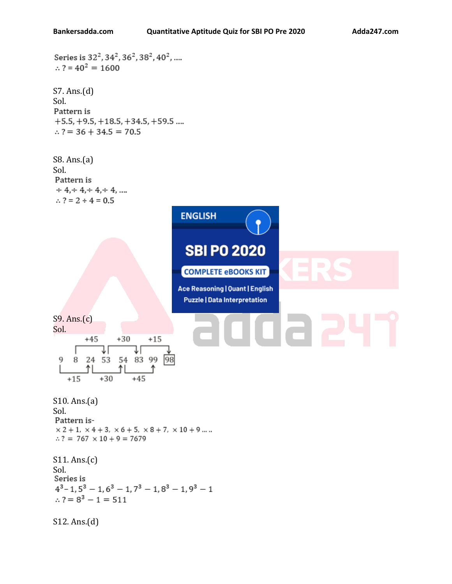```
Series is 32<sup>2</sup>, 34<sup>2</sup>, 36<sup>2</sup>, 38<sup>2</sup>, 40<sup>2</sup>, ....
\therefore ? = 40<sup>2</sup> = 1600
S7. Ans.(d)
Sol.
Pattern is
+5.5, +9.5, +18.5, +34.5, +59.5 ....
\therefore ? = 36 + 34.5 = 70.5
S8. Ans.(a)
Sol.
Pattern is
\div 4, \div 4, \div 4, \div 4, ...
 \therefore ? = 2 ÷ 4 = 0.5
                                              ENGLISH
                                               SBI PO 2020
                                              COMPLETE eBOOKS KIT
                                             Ace Reasoning | Quant | English
                                               Puzzle | Data Interpretation
S9. Ans.(c)
Sol.
                       +30+45+15₹Γ
                             JΓ
  9 8 24 53 54 83 99
                                       98
            Λl
                       Λl
                            +45+15+30S10. Ans.(a)
Sol.
Pattern is-
\times\, 2 + 1,\, \times 4 + 3,\, \times 6 + 5,\, \times 8 + 7,\, \times 10 + 9 \ldots .\therefore ? = 767 \times 10 + 9 = 7679
S11. Ans.(c)
Sol.<br>Series is
4^3 - 1, 5^3 - 1, 6^3 - 1, 7^3 - 1, 8^3 - 1, 9^3 - 1\therefore ? = 8<sup>3</sup> - 1 = 511
S12. Ans.(d)
```